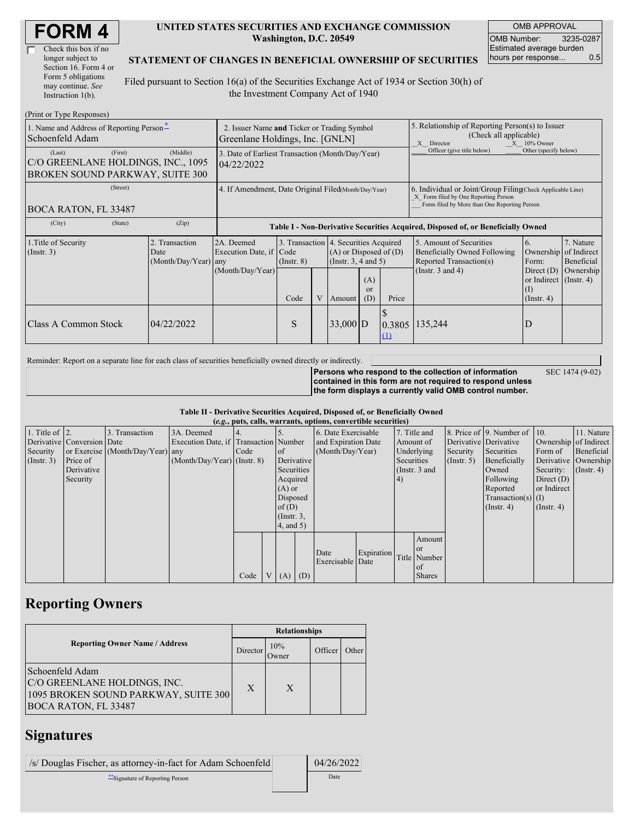| <b>FORM4</b> |
|--------------|
|--------------|

| Check this box if no  |
|-----------------------|
| longer subject to     |
| Section 16. Form 4 or |
| Form 5 obligations    |
| may continue. See     |
| Instruction $1(b)$ .  |

#### **UNITED STATES SECURITIES AND EXCHANGE COMMISSION Washington, D.C. 20549**

OMB APPROVAL OMB Number: 3235-0287 Estimated average burden hours per response... 0.5

#### **STATEMENT OF CHANGES IN BENEFICIAL OWNERSHIP OF SECURITIES**

Filed pursuant to Section 16(a) of the Securities Exchange Act of 1934 or Section 30(h) of the Investment Company Act of 1940

| (Print or Type Responses)                                                                  |                                                                                |                                                                                  |                 |                                                                                            |            |                        |                                                                                                                                                                                                             |                            |                                                         |  |
|--------------------------------------------------------------------------------------------|--------------------------------------------------------------------------------|----------------------------------------------------------------------------------|-----------------|--------------------------------------------------------------------------------------------|------------|------------------------|-------------------------------------------------------------------------------------------------------------------------------------------------------------------------------------------------------------|----------------------------|---------------------------------------------------------|--|
| 1. Name and Address of Reporting Person-<br>Schoenfeld Adam                                | 2. Issuer Name and Ticker or Trading Symbol<br>Greenlane Holdings, Inc. [GNLN] |                                                                                  |                 |                                                                                            |            |                        | 5. Relationship of Reporting Person(s) to Issuer<br>(Check all applicable)<br>$X = 10\%$ Owner<br>X Director                                                                                                |                            |                                                         |  |
| (First)<br>(Last)<br>C/O GREENLANE HOLDINGS, INC., 1095<br>BROKEN SOUND PARKWAY, SUITE 300 | (Middle)                                                                       | 3. Date of Earliest Transaction (Month/Day/Year)<br>04/22/2022                   |                 |                                                                                            |            |                        |                                                                                                                                                                                                             | Officer (give title below) | Other (specify below)                                   |  |
| (Street)<br>BOCA RATON, FL 33487                                                           | 4. If Amendment, Date Original Filed(Month/Day/Year)                           |                                                                                  |                 |                                                                                            |            |                        | 6. Individual or Joint/Group Filing Check Applicable Line)<br>X Form filed by One Reporting Person<br>Form filed by More than One Reporting Person                                                          |                            |                                                         |  |
| (City)<br>(State)                                                                          | (Zip)                                                                          | Table I - Non-Derivative Securities Acquired, Disposed of, or Beneficially Owned |                 |                                                                                            |            |                        |                                                                                                                                                                                                             |                            |                                                         |  |
| 1. Title of Security<br>(Insert. 3)                                                        | 2. Transaction<br>Date<br>(Month/Day/Year) any                                 | 2A. Deemed<br>Execution Date, if Code<br>(Month/Day/Year)                        | $($ Instr. $8)$ | 3. Transaction 4. Securities Acquired<br>$(A)$ or Disposed of $(D)$<br>(Instr. 3, 4 and 5) |            |                        | 7. Nature<br>5. Amount of Securities<br>6.<br>Ownership of Indirect<br>Beneficially Owned Following<br>Reported Transaction(s)<br>Form:<br>Beneficial<br>(Instr. $3$ and $4$ )<br>Ownership<br>Direct $(D)$ |                            |                                                         |  |
|                                                                                            |                                                                                |                                                                                  | Code            | V                                                                                          | Amount     | (A)<br>$\alpha$<br>(D) | Price                                                                                                                                                                                                       |                            | or Indirect $($ Instr. 4 $)$<br>(1)<br>$($ Instr. 4 $)$ |  |
| Class A Common Stock                                                                       | 04/22/2022                                                                     |                                                                                  | S               |                                                                                            | $33,000$ D |                        | Φ<br>0.3805<br>$\Omega$                                                                                                                                                                                     | 135,244                    | D                                                       |  |

Reminder: Report on a separate line for each class of securities beneficially owned directly or indirectly.

**Persons who respond to the collection of information contained in this form are not required to respond unless the form displays a currently valid OMB control number.** SEC 1474 (9-02)

**Table II - Derivative Securities Acquired, Disposed of, or Beneficially Owned (***e.g.***, puts, calls, warrants, options, convertible securities)**

| $(0.8)$ pans, eally wanted specified convertible securities, |                            |                                  |                                       |                |  |                 |            |                     |            |            |               |                       |                                              |                       |               |
|--------------------------------------------------------------|----------------------------|----------------------------------|---------------------------------------|----------------|--|-----------------|------------|---------------------|------------|------------|---------------|-----------------------|----------------------------------------------|-----------------------|---------------|
| 1. Title of $\vert$ 2.                                       |                            | 3. Transaction                   | 3A. Deemed                            | $\mathsf{I}4.$ |  |                 |            | 6. Date Exercisable |            |            | 7. Title and  |                       | 8. Price of $\vert$ 9. Number of $\vert$ 10. |                       | 11. Nature    |
|                                                              | Derivative Conversion Date |                                  | Execution Date, if Transaction Number |                |  |                 |            | and Expiration Date |            |            | Amount of     | Derivative Derivative |                                              | Ownership of Indirect |               |
| Security                                                     |                            | or Exercise (Month/Day/Year) any |                                       | Code           |  | of              |            | (Month/Day/Year)    |            |            | Underlying    | Security              | Securities                                   | Form of               | Beneficial    |
| $($ Instr. 3 $)$                                             | Price of                   |                                  | $(Month/Day/Year)$ (Instr. 8)         |                |  |                 | Derivative |                     |            | Securities |               | $($ Instr. 5)         | Beneficially                                 | Derivative Ownership  |               |
|                                                              | Derivative                 |                                  |                                       |                |  | Securities      |            |                     |            |            | (Instr. 3 and |                       | Owned                                        | Security:             | $($ Instr. 4) |
|                                                              | Security                   |                                  |                                       |                |  | Acquired        |            |                     |            | 4)         |               |                       | Following                                    | Direct $(D)$          |               |
|                                                              |                            |                                  |                                       |                |  | $(A)$ or        |            |                     |            |            |               |                       | Reported                                     | or Indirect           |               |
|                                                              |                            |                                  |                                       |                |  | Disposed        |            |                     |            |            |               |                       | $Transaction(s)$ (I)                         |                       |               |
|                                                              |                            |                                  |                                       |                |  | of(D)           |            |                     |            |            |               |                       | $($ Instr. 4)                                | $($ Instr. 4 $)$      |               |
|                                                              |                            |                                  |                                       |                |  | $($ Instr. $3,$ |            |                     |            |            |               |                       |                                              |                       |               |
|                                                              |                            |                                  |                                       |                |  | $4$ , and $5$ ) |            |                     |            |            |               |                       |                                              |                       |               |
|                                                              |                            |                                  |                                       |                |  |                 |            |                     |            |            | Amount        |                       |                                              |                       |               |
|                                                              |                            |                                  |                                       |                |  |                 |            | Date                | Expiration |            | <sub>or</sub> |                       |                                              |                       |               |
|                                                              |                            |                                  |                                       |                |  |                 |            | Exercisable Date    |            |            | Title Number  |                       |                                              |                       |               |
|                                                              |                            |                                  |                                       |                |  |                 |            |                     |            |            | of            |                       |                                              |                       |               |
|                                                              |                            |                                  |                                       | Code           |  | V(A)            | (D)        |                     |            |            | <b>Shares</b> |                       |                                              |                       |               |

# **Reporting Owners**

|                                                                                                                        | <b>Relationships</b> |              |         |       |  |  |  |
|------------------------------------------------------------------------------------------------------------------------|----------------------|--------------|---------|-------|--|--|--|
| <b>Reporting Owner Name / Address</b>                                                                                  | Director             | 10%<br>Owner | Officer | Other |  |  |  |
| Schoenfeld Adam<br>C/O GREENLANE HOLDINGS, INC.<br>1095 BROKEN SOUND PARKWAY, SUITE 300<br><b>BOCA RATON, FL 33487</b> | X                    | X            |         |       |  |  |  |

# **Signatures**

| /s/ Douglas Fischer, as attorney-in-fact for Adam Schoenfeld | 04/26/2022 |
|--------------------------------------------------------------|------------|
| **Signature of Reporting Person                              | Date       |